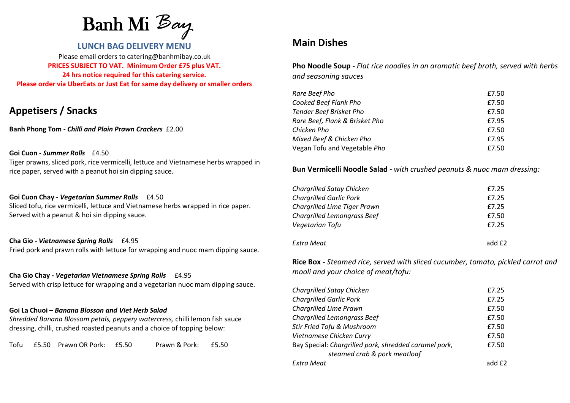Banh Mi *Bay* 

### **LUNCH BAG DELIVERY MENU**

Please email orders to catering@banhmibay.co.uk **PRICES SUBJECT TO VAT. Minimum Order £75 plus VAT. 24 hrs notice required for this catering service. Please order via UberEats or Just Eat for same day delivery or smaller orders**

# **Appetisers / Snacks**

**Banh Phong Tom -** *Chilli and Plain Prawn Crackers* £2.00

### **Goi Cuon -** *Summer Rolls* £4.50

Tiger prawns, sliced pork, rice vermicelli, lettuce and Vietnamese herbs wrapped in rice paper, served with a peanut hoi sin dipping sauce.

### **Goi Cuon Chay -** *Vegetarian Summer Rolls* £4.50

Sliced tofu, rice vermicelli, lettuce and Vietnamese herbs wrapped in rice paper. Served with a peanut & hoi sin dipping sauce.

#### **Cha Gio -** *Vietnamese Spring Rolls* £4.95

Fried pork and prawn rolls with lettuce for wrapping and nuoc mam dipping sauce.

**Cha Gio Chay -** *Vegetarian Vietnamese Spring Rolls* £4.95 Served with crisp lettuce for wrapping and a vegetarian nuoc mam dipping sauce.

#### **Goi La Chuoi –** *Banana Blosson and Viet Herb Salad*

*Shredded Banana Blossom petals, peppery watercress,* chilli lemon fish sauce dressing, chilli, crushed roasted peanuts and a choice of topping below:

Tofu £5.50 Prawn OR Pork: £5.50 Prawn & Pork: £5.50

## **Main Dishes**

**Pho Noodle Soup -** *Flat rice noodles in an aromatic beef broth, served with herbs and seasoning sauces*

| Rare Beef Pho                  | £7.50 |
|--------------------------------|-------|
| Cooked Beef Flank Pho          | £7.50 |
| <b>Tender Beef Brisket Pho</b> | £7.50 |
| Rare Beef, Flank & Brisket Pho | £7.95 |
| Chicken Pho                    | £7.50 |
| Mixed Beef & Chicken Pho       | £7.95 |
| Vegan Tofu and Vegetable Pho   | £7.50 |

### **Bun Vermicelli Noodle Salad -** *with crushed peanuts & nuoc mam dressing:*

| <b>Chargrilled Satay Chicken</b>   | £7.25              |
|------------------------------------|--------------------|
| <b>Chargrilled Garlic Pork</b>     | £7.25              |
| Chargrilled Lime Tiger Prawn       | £7.25              |
| <b>Chargrilled Lemongrass Beef</b> | £7.50              |
| Vegetarian Tofu                    | £7.25              |
| Extra Meat                         | add f <sub>2</sub> |

**Rice Box -** *Steamed rice, served with sliced cucumber, tomato, pickled carrot and mooli and your choice of meat/tofu:*

| <b>Chargrilled Satay Chicken</b>                                                      | £7.25              |
|---------------------------------------------------------------------------------------|--------------------|
| <b>Chargrilled Garlic Pork</b>                                                        | £7.25              |
| Chargrilled Lime Prawn                                                                | £7.50              |
| <b>Chargrilled Lemongrass Beef</b>                                                    | £7.50              |
| Stir Fried Tofu & Mushroom                                                            | £7.50              |
| Vietnamese Chicken Curry                                                              | £7.50              |
| Bay Special: Chargrilled pork, shredded caramel pork,<br>steamed crab & pork meatloaf | £7.50              |
| Extra Meat                                                                            | add f <sub>2</sub> |